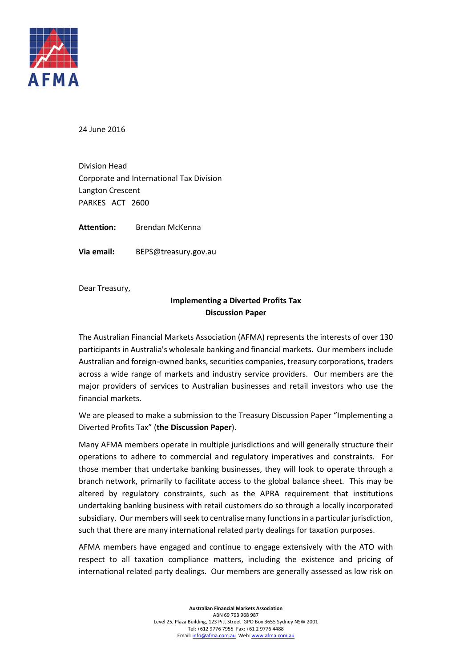

24 June 2016

Division Head Corporate and International Tax Division Langton Crescent PARKES ACT 2600

**Attention:** Brendan McKenna

**Via email:** BEPS@treasury.gov.au

Dear Treasury,

### **Implementing a Diverted Profits Tax Discussion Paper**

The Australian Financial Markets Association (AFMA) represents the interests of over 130 participants in Australia's wholesale banking and financial markets. Our members include Australian and foreign-owned banks, securities companies, treasury corporations, traders across a wide range of markets and industry service providers. Our members are the major providers of services to Australian businesses and retail investors who use the financial markets.

We are pleased to make a submission to the Treasury Discussion Paper "Implementing a Diverted Profits Tax" (**the Discussion Paper**).

Many AFMA members operate in multiple jurisdictions and will generally structure their operations to adhere to commercial and regulatory imperatives and constraints. For those member that undertake banking businesses, they will look to operate through a branch network, primarily to facilitate access to the global balance sheet. This may be altered by regulatory constraints, such as the APRA requirement that institutions undertaking banking business with retail customers do so through a locally incorporated subsidiary. Our members will seek to centralise many functions in a particular jurisdiction, such that there are many international related party dealings for taxation purposes.

AFMA members have engaged and continue to engage extensively with the ATO with respect to all taxation compliance matters, including the existence and pricing of international related party dealings. Our members are generally assessed as low risk on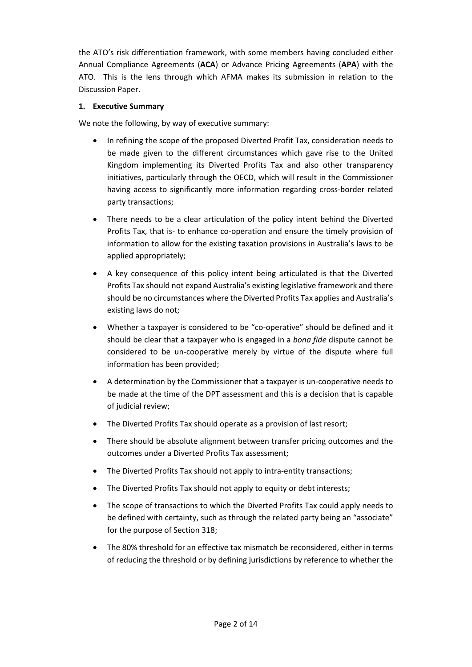the ATO's risk differentiation framework, with some members having concluded either Annual Compliance Agreements (**ACA**) or Advance Pricing Agreements (**APA**) with the ATO. This is the lens through which AFMA makes its submission in relation to the Discussion Paper.

#### **1. Executive Summary**

We note the following, by way of executive summary:

- In refining the scope of the proposed Diverted Profit Tax, consideration needs to be made given to the different circumstances which gave rise to the United Kingdom implementing its Diverted Profits Tax and also other transparency initiatives, particularly through the OECD, which will result in the Commissioner having access to significantly more information regarding cross-border related party transactions;
- There needs to be a clear articulation of the policy intent behind the Diverted Profits Tax, that is‐ to enhance co‐operation and ensure the timely provision of information to allow for the existing taxation provisions in Australia's laws to be applied appropriately;
- A key consequence of this policy intent being articulated is that the Diverted Profits Tax should not expand Australia's existing legislative framework and there should be no circumstances where the Diverted Profits Tax applies and Australia's existing laws do not;
- Whether a taxpayer is considered to be "co-operative" should be defined and it should be clear that a taxpayer who is engaged in a *bona fide* dispute cannot be considered to be un‐cooperative merely by virtue of the dispute where full information has been provided;
- A determination by the Commissioner that a taxpayer is un‐cooperative needs to be made at the time of the DPT assessment and this is a decision that is capable of judicial review;
- The Diverted Profits Tax should operate as a provision of last resort;
- There should be absolute alignment between transfer pricing outcomes and the outcomes under a Diverted Profits Tax assessment;
- The Diverted Profits Tax should not apply to intra-entity transactions;
- The Diverted Profits Tax should not apply to equity or debt interests;
- The scope of transactions to which the Diverted Profits Tax could apply needs to be defined with certainty, such as through the related party being an "associate" for the purpose of Section 318;
- The 80% threshold for an effective tax mismatch be reconsidered, either in terms of reducing the threshold or by defining jurisdictions by reference to whether the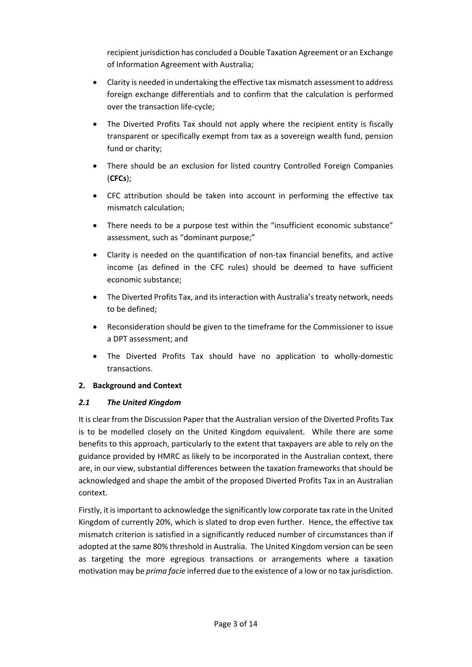recipient jurisdiction has concluded a Double Taxation Agreement or an Exchange of Information Agreement with Australia;

- Clarity is needed in undertaking the effective tax mismatch assessment to address foreign exchange differentials and to confirm that the calculation is performed over the transaction life‐cycle;
- The Diverted Profits Tax should not apply where the recipient entity is fiscally transparent or specifically exempt from tax as a sovereign wealth fund, pension fund or charity;
- There should be an exclusion for listed country Controlled Foreign Companies (**CFCs**);
- CFC attribution should be taken into account in performing the effective tax mismatch calculation;
- There needs to be a purpose test within the "insufficient economic substance" assessment, such as "dominant purpose;"
- Clarity is needed on the quantification of non‐tax financial benefits, and active income (as defined in the CFC rules) should be deemed to have sufficient economic substance;
- The Diverted Profits Tax, and itsinteraction with Australia'streaty network, needs to be defined;
- Reconsideration should be given to the timeframe for the Commissioner to issue a DPT assessment; and
- The Diverted Profits Tax should have no application to wholly‐domestic transactions.

### **2. Background and Context**

### *2.1 The United Kingdom*

It is clear from the Discussion Paper that the Australian version of the Diverted Profits Tax is to be modelled closely on the United Kingdom equivalent. While there are some benefits to this approach, particularly to the extent that taxpayers are able to rely on the guidance provided by HMRC as likely to be incorporated in the Australian context, there are, in our view, substantial differences between the taxation frameworks that should be acknowledged and shape the ambit of the proposed Diverted Profits Tax in an Australian context.

Firstly, it isimportant to acknowledge the significantly low corporate tax rate in the United Kingdom of currently 20%, which is slated to drop even further. Hence, the effective tax mismatch criterion is satisfied in a significantly reduced number of circumstances than if adopted at the same 80% threshold in Australia. The United Kingdom version can be seen as targeting the more egregious transactions or arrangements where a taxation motivation may be *prima facie* inferred due to the existence of a low or no tax jurisdiction.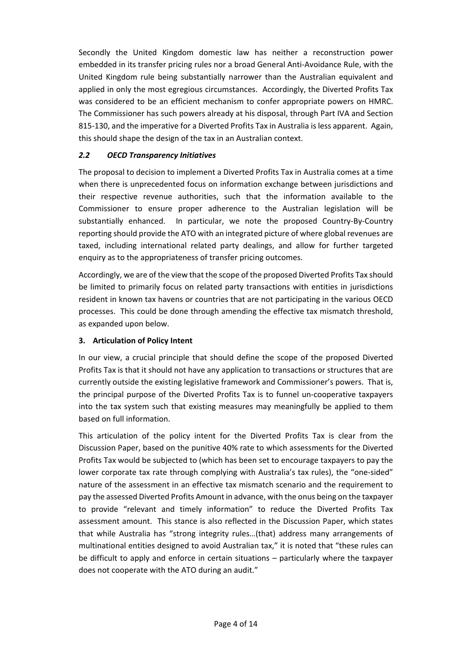Secondly the United Kingdom domestic law has neither a reconstruction power embedded in its transfer pricing rules nor a broad General Anti‐Avoidance Rule, with the United Kingdom rule being substantially narrower than the Australian equivalent and applied in only the most egregious circumstances. Accordingly, the Diverted Profits Tax was considered to be an efficient mechanism to confer appropriate powers on HMRC. The Commissioner has such powers already at his disposal, through Part IVA and Section 815‐130, and the imperative for a Diverted Profits Tax in Australia is less apparent. Again, this should shape the design of the tax in an Australian context.

### *2.2 OECD Transparency Initiatives*

The proposal to decision to implement a Diverted Profits Tax in Australia comes at a time when there is unprecedented focus on information exchange between jurisdictions and their respective revenue authorities, such that the information available to the Commissioner to ensure proper adherence to the Australian legislation will be substantially enhanced. In particular, we note the proposed Country-By-Country reporting should provide the ATO with an integrated picture of where global revenues are taxed, including international related party dealings, and allow for further targeted enquiry as to the appropriateness of transfer pricing outcomes.

Accordingly, we are of the view that the scope of the proposed Diverted Profits Tax should be limited to primarily focus on related party transactions with entities in jurisdictions resident in known tax havens or countries that are not participating in the various OECD processes. This could be done through amending the effective tax mismatch threshold, as expanded upon below.

### **3. Articulation of Policy Intent**

In our view, a crucial principle that should define the scope of the proposed Diverted Profits Tax is that it should not have any application to transactions or structures that are currently outside the existing legislative framework and Commissioner's powers. That is, the principal purpose of the Diverted Profits Tax is to funnel un‐cooperative taxpayers into the tax system such that existing measures may meaningfully be applied to them based on full information.

This articulation of the policy intent for the Diverted Profits Tax is clear from the Discussion Paper, based on the punitive 40% rate to which assessments for the Diverted Profits Tax would be subjected to (which has been set to encourage taxpayers to pay the lower corporate tax rate through complying with Australia's tax rules), the "one-sided" nature of the assessment in an effective tax mismatch scenario and the requirement to pay the assessed Diverted Profits Amount in advance, with the onus being on the taxpayer to provide "relevant and timely information" to reduce the Diverted Profits Tax assessment amount. This stance is also reflected in the Discussion Paper, which states that while Australia has "strong integrity rules…(that) address many arrangements of multinational entities designed to avoid Australian tax," it is noted that "these rules can be difficult to apply and enforce in certain situations – particularly where the taxpayer does not cooperate with the ATO during an audit."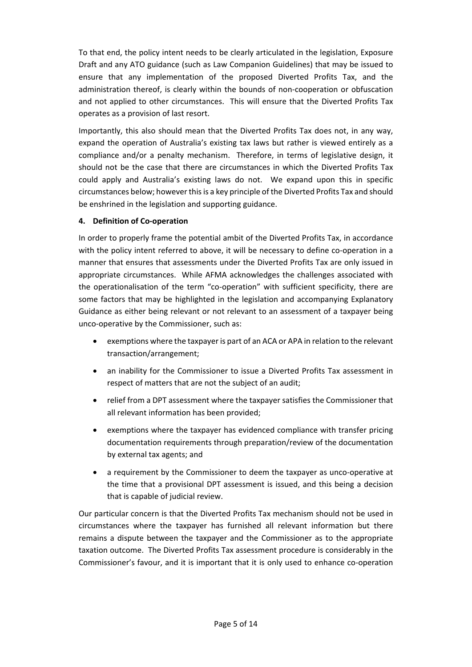To that end, the policy intent needs to be clearly articulated in the legislation, Exposure Draft and any ATO guidance (such as Law Companion Guidelines) that may be issued to ensure that any implementation of the proposed Diverted Profits Tax, and the administration thereof, is clearly within the bounds of non‐cooperation or obfuscation and not applied to other circumstances. This will ensure that the Diverted Profits Tax operates as a provision of last resort.

Importantly, this also should mean that the Diverted Profits Tax does not, in any way, expand the operation of Australia's existing tax laws but rather is viewed entirely as a compliance and/or a penalty mechanism. Therefore, in terms of legislative design, it should not be the case that there are circumstances in which the Diverted Profits Tax could apply and Australia's existing laws do not. We expand upon this in specific circumstances below; however thisis a key principle of the Diverted Profits Tax and should be enshrined in the legislation and supporting guidance.

## **4. Definition of Co‐operation**

In order to properly frame the potential ambit of the Diverted Profits Tax, in accordance with the policy intent referred to above, it will be necessary to define co-operation in a manner that ensures that assessments under the Diverted Profits Tax are only issued in appropriate circumstances. While AFMA acknowledges the challenges associated with the operationalisation of the term "co-operation" with sufficient specificity, there are some factors that may be highlighted in the legislation and accompanying Explanatory Guidance as either being relevant or not relevant to an assessment of a taxpayer being unco-operative by the Commissioner, such as:

- exemptions where the taxpayer is part of an ACA or APA in relation to the relevant transaction/arrangement;
- an inability for the Commissioner to issue a Diverted Profits Tax assessment in respect of matters that are not the subject of an audit;
- relief from a DPT assessment where the taxpayer satisfies the Commissioner that all relevant information has been provided;
- exemptions where the taxpayer has evidenced compliance with transfer pricing documentation requirements through preparation/review of the documentation by external tax agents; and
- a requirement by the Commissioner to deem the taxpayer as unco-operative at the time that a provisional DPT assessment is issued, and this being a decision that is capable of judicial review.

Our particular concern is that the Diverted Profits Tax mechanism should not be used in circumstances where the taxpayer has furnished all relevant information but there remains a dispute between the taxpayer and the Commissioner as to the appropriate taxation outcome. The Diverted Profits Tax assessment procedure is considerably in the Commissioner's favour, and it is important that it is only used to enhance co‐operation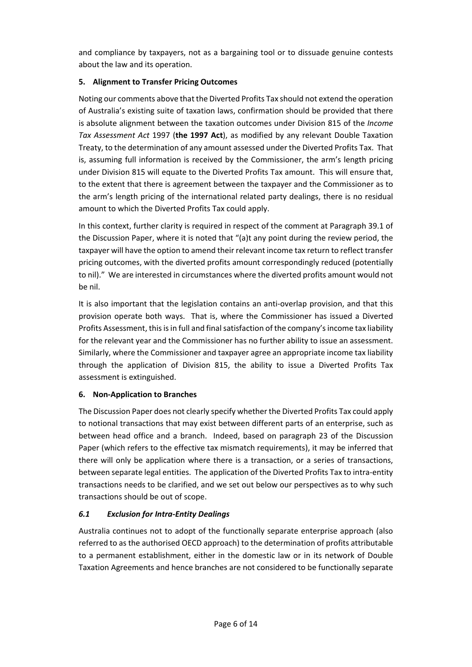and compliance by taxpayers, not as a bargaining tool or to dissuade genuine contests about the law and its operation.

## **5. Alignment to Transfer Pricing Outcomes**

Noting our comments above that the Diverted Profits Tax should not extend the operation of Australia's existing suite of taxation laws, confirmation should be provided that there is absolute alignment between the taxation outcomes under Division 815 of the *Income Tax Assessment Act* 1997 (**the 1997 Act**), as modified by any relevant Double Taxation Treaty, to the determination of any amount assessed under the Diverted Profits Tax. That is, assuming full information is received by the Commissioner, the arm's length pricing under Division 815 will equate to the Diverted Profits Tax amount. This will ensure that, to the extent that there is agreement between the taxpayer and the Commissioner as to the arm's length pricing of the international related party dealings, there is no residual amount to which the Diverted Profits Tax could apply.

In this context, further clarity is required in respect of the comment at Paragraph 39.1 of the Discussion Paper, where it is noted that "(a)t any point during the review period, the taxpayer will have the option to amend their relevant income tax return to reflect transfer pricing outcomes, with the diverted profits amount correspondingly reduced (potentially to nil)." We are interested in circumstances where the diverted profits amount would not be nil.

It is also important that the legislation contains an anti-overlap provision, and that this provision operate both ways. That is, where the Commissioner has issued a Diverted Profits Assessment, this is in full and final satisfaction of the company's income tax liability for the relevant year and the Commissioner has no further ability to issue an assessment. Similarly, where the Commissioner and taxpayer agree an appropriate income tax liability through the application of Division 815, the ability to issue a Diverted Profits Tax assessment is extinguished.

# **6. Non‐Application to Branches**

The Discussion Paper does not clearly specify whether the Diverted Profits Tax could apply to notional transactions that may exist between different parts of an enterprise, such as between head office and a branch. Indeed, based on paragraph 23 of the Discussion Paper (which refers to the effective tax mismatch requirements), it may be inferred that there will only be application where there is a transaction, or a series of transactions, between separate legal entities. The application of the Diverted Profits Tax to intra-entity transactions needs to be clarified, and we set out below our perspectives as to why such transactions should be out of scope.

# *6.1 Exclusion for Intra‐Entity Dealings*

Australia continues not to adopt of the functionally separate enterprise approach (also referred to as the authorised OECD approach) to the determination of profits attributable to a permanent establishment, either in the domestic law or in its network of Double Taxation Agreements and hence branches are not considered to be functionally separate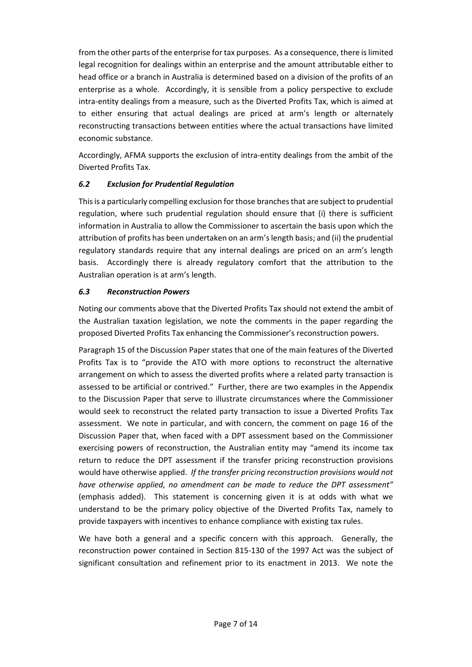from the other parts of the enterprise for tax purposes. As a consequence, there islimited legal recognition for dealings within an enterprise and the amount attributable either to head office or a branch in Australia is determined based on a division of the profits of an enterprise as a whole. Accordingly, it is sensible from a policy perspective to exclude intra‐entity dealings from a measure, such as the Diverted Profits Tax, which is aimed at to either ensuring that actual dealings are priced at arm's length or alternately reconstructing transactions between entities where the actual transactions have limited economic substance.

Accordingly, AFMA supports the exclusion of intra‐entity dealings from the ambit of the Diverted Profits Tax.

## *6.2 Exclusion for Prudential Regulation*

Thisis a particularly compelling exclusion for those branchesthat are subject to prudential regulation, where such prudential regulation should ensure that (i) there is sufficient information in Australia to allow the Commissioner to ascertain the basis upon which the attribution of profits has been undertaken on an arm'slength basis; and (ii) the prudential regulatory standards require that any internal dealings are priced on an arm's length basis. Accordingly there is already regulatory comfort that the attribution to the Australian operation is at arm's length.

### *6.3 Reconstruction Powers*

Noting our comments above that the Diverted Profits Tax should not extend the ambit of the Australian taxation legislation, we note the comments in the paper regarding the proposed Diverted Profits Tax enhancing the Commissioner's reconstruction powers.

Paragraph 15 of the Discussion Paper states that one of the main features of the Diverted Profits Tax is to "provide the ATO with more options to reconstruct the alternative arrangement on which to assess the diverted profits where a related party transaction is assessed to be artificial or contrived." Further, there are two examples in the Appendix to the Discussion Paper that serve to illustrate circumstances where the Commissioner would seek to reconstruct the related party transaction to issue a Diverted Profits Tax assessment. We note in particular, and with concern, the comment on page 16 of the Discussion Paper that, when faced with a DPT assessment based on the Commissioner exercising powers of reconstruction, the Australian entity may "amend its income tax return to reduce the DPT assessment if the transfer pricing reconstruction provisions would have otherwise applied. *If the transfer pricing reconstruction provisions would not have otherwise applied, no amendment can be made to reduce the DPT assessment"* (emphasis added). This statement is concerning given it is at odds with what we understand to be the primary policy objective of the Diverted Profits Tax, namely to provide taxpayers with incentives to enhance compliance with existing tax rules.

We have both a general and a specific concern with this approach. Generally, the reconstruction power contained in Section 815‐130 of the 1997 Act was the subject of significant consultation and refinement prior to its enactment in 2013. We note the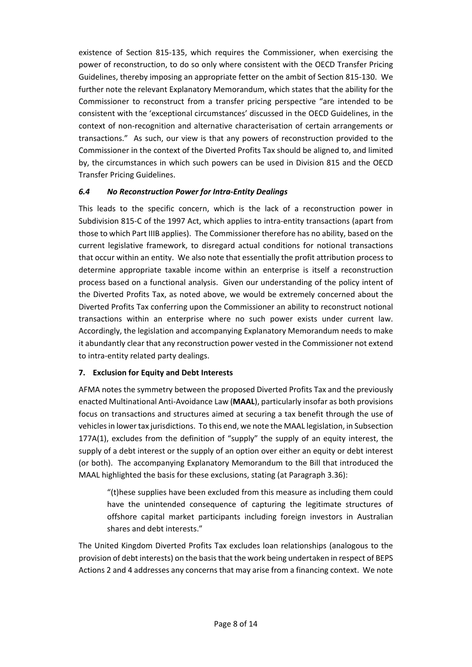existence of Section 815‐135, which requires the Commissioner, when exercising the power of reconstruction, to do so only where consistent with the OECD Transfer Pricing Guidelines, thereby imposing an appropriate fetter on the ambit of Section 815‐130. We further note the relevant Explanatory Memorandum, which states that the ability for the Commissioner to reconstruct from a transfer pricing perspective "are intended to be consistent with the 'exceptional circumstances' discussed in the OECD Guidelines, in the context of non‐recognition and alternative characterisation of certain arrangements or transactions." As such, our view is that any powers of reconstruction provided to the Commissioner in the context of the Diverted Profits Tax should be aligned to, and limited by, the circumstances in which such powers can be used in Division 815 and the OECD Transfer Pricing Guidelines.

## *6.4 No Reconstruction Power for Intra‐Entity Dealings*

This leads to the specific concern, which is the lack of a reconstruction power in Subdivision 815-C of the 1997 Act, which applies to intra-entity transactions (apart from those to which Part IIIB applies). The Commissioner therefore has no ability, based on the current legislative framework, to disregard actual conditions for notional transactions that occur within an entity. We also note that essentially the profit attribution process to determine appropriate taxable income within an enterprise is itself a reconstruction process based on a functional analysis. Given our understanding of the policy intent of the Diverted Profits Tax, as noted above, we would be extremely concerned about the Diverted Profits Tax conferring upon the Commissioner an ability to reconstruct notional transactions within an enterprise where no such power exists under current law. Accordingly, the legislation and accompanying Explanatory Memorandum needs to make it abundantly clear that any reconstruction power vested in the Commissioner not extend to intra‐entity related party dealings.

### **7. Exclusion for Equity and Debt Interests**

AFMA notes the symmetry between the proposed Diverted Profits Tax and the previously enacted Multinational Anti‐Avoidance Law (**MAAL**), particularly insofar as both provisions focus on transactions and structures aimed at securing a tax benefit through the use of vehicles in lower tax jurisdictions. To this end, we note the MAAL legislation, in Subsection 177A(1), excludes from the definition of "supply" the supply of an equity interest, the supply of a debt interest or the supply of an option over either an equity or debt interest (or both). The accompanying Explanatory Memorandum to the Bill that introduced the MAAL highlighted the basis for these exclusions, stating (at Paragraph 3.36):

"(t)hese supplies have been excluded from this measure as including them could have the unintended consequence of capturing the legitimate structures of offshore capital market participants including foreign investors in Australian shares and debt interests."

The United Kingdom Diverted Profits Tax excludes loan relationships (analogous to the provision of debt interests) on the basisthat the work being undertaken in respect of BEPS Actions 2 and 4 addresses any concerns that may arise from a financing context. We note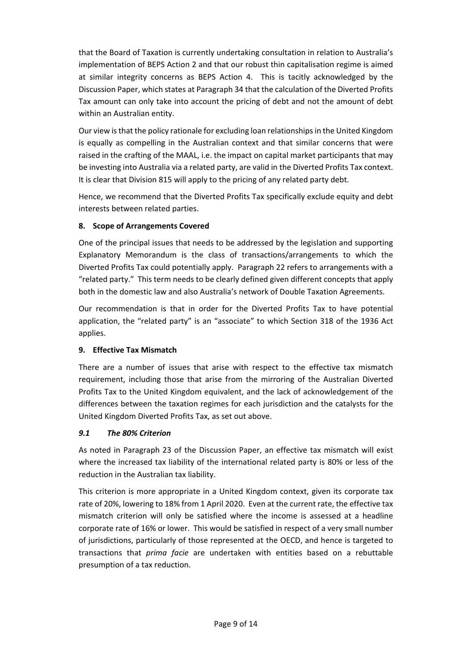that the Board of Taxation is currently undertaking consultation in relation to Australia's implementation of BEPS Action 2 and that our robust thin capitalisation regime is aimed at similar integrity concerns as BEPS Action 4. This is tacitly acknowledged by the Discussion Paper, which states at Paragraph 34 that the calculation of the Diverted Profits Tax amount can only take into account the pricing of debt and not the amount of debt within an Australian entity.

Our view isthat the policy rationale for excluding loan relationshipsin the United Kingdom is equally as compelling in the Australian context and that similar concerns that were raised in the crafting of the MAAL, i.e. the impact on capital market participants that may be investing into Australia via a related party, are valid in the Diverted Profits Tax context. It is clear that Division 815 will apply to the pricing of any related party debt.

Hence, we recommend that the Diverted Profits Tax specifically exclude equity and debt interests between related parties.

## **8. Scope of Arrangements Covered**

One of the principal issues that needs to be addressed by the legislation and supporting Explanatory Memorandum is the class of transactions/arrangements to which the Diverted Profits Tax could potentially apply. Paragraph 22 refers to arrangements with a "related party." This term needs to be clearly defined given different concepts that apply both in the domestic law and also Australia's network of Double Taxation Agreements.

Our recommendation is that in order for the Diverted Profits Tax to have potential application, the "related party" is an "associate" to which Section 318 of the 1936 Act applies.

### **9. Effective Tax Mismatch**

There are a number of issues that arise with respect to the effective tax mismatch requirement, including those that arise from the mirroring of the Australian Diverted Profits Tax to the United Kingdom equivalent, and the lack of acknowledgement of the differences between the taxation regimes for each jurisdiction and the catalysts for the United Kingdom Diverted Profits Tax, as set out above.

# *9.1 The 80% Criterion*

As noted in Paragraph 23 of the Discussion Paper, an effective tax mismatch will exist where the increased tax liability of the international related party is 80% or less of the reduction in the Australian tax liability.

This criterion is more appropriate in a United Kingdom context, given its corporate tax rate of 20%, lowering to 18% from 1 April 2020. Even at the current rate, the effective tax mismatch criterion will only be satisfied where the income is assessed at a headline corporate rate of 16% or lower. This would be satisfied in respect of a very small number of jurisdictions, particularly of those represented at the OECD, and hence is targeted to transactions that *prima facie* are undertaken with entities based on a rebuttable presumption of a tax reduction.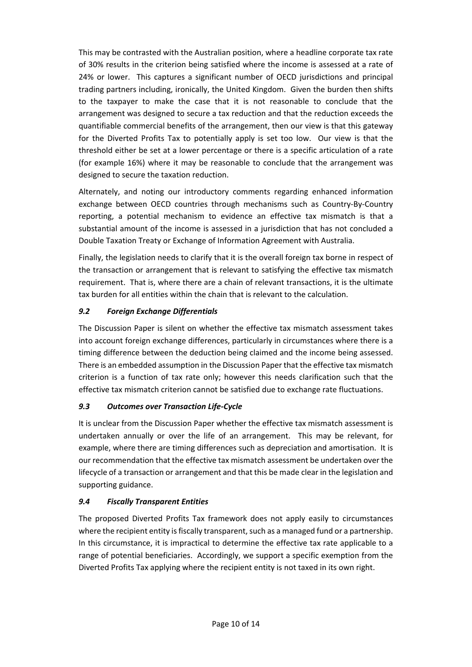This may be contrasted with the Australian position, where a headline corporate tax rate of 30% results in the criterion being satisfied where the income is assessed at a rate of 24% or lower. This captures a significant number of OECD jurisdictions and principal trading partners including, ironically, the United Kingdom. Given the burden then shifts to the taxpayer to make the case that it is not reasonable to conclude that the arrangement was designed to secure a tax reduction and that the reduction exceeds the quantifiable commercial benefits of the arrangement, then our view is that this gateway for the Diverted Profits Tax to potentially apply is set too low. Our view is that the threshold either be set at a lower percentage or there is a specific articulation of a rate (for example 16%) where it may be reasonable to conclude that the arrangement was designed to secure the taxation reduction.

Alternately, and noting our introductory comments regarding enhanced information exchange between OECD countries through mechanisms such as Country‐By‐Country reporting, a potential mechanism to evidence an effective tax mismatch is that a substantial amount of the income is assessed in a jurisdiction that has not concluded a Double Taxation Treaty or Exchange of Information Agreement with Australia.

Finally, the legislation needs to clarify that it is the overall foreign tax borne in respect of the transaction or arrangement that is relevant to satisfying the effective tax mismatch requirement. That is, where there are a chain of relevant transactions, it is the ultimate tax burden for all entities within the chain that is relevant to the calculation.

# *9.2 Foreign Exchange Differentials*

The Discussion Paper is silent on whether the effective tax mismatch assessment takes into account foreign exchange differences, particularly in circumstances where there is a timing difference between the deduction being claimed and the income being assessed. There is an embedded assumption in the Discussion Paper that the effective tax mismatch criterion is a function of tax rate only; however this needs clarification such that the effective tax mismatch criterion cannot be satisfied due to exchange rate fluctuations.

### *9.3 Outcomes over Transaction Life‐Cycle*

It is unclear from the Discussion Paper whether the effective tax mismatch assessment is undertaken annually or over the life of an arrangement. This may be relevant, for example, where there are timing differences such as depreciation and amortisation. It is our recommendation that the effective tax mismatch assessment be undertaken over the lifecycle of a transaction or arrangement and that this be made clear in the legislation and supporting guidance.

# *9.4 Fiscally Transparent Entities*

The proposed Diverted Profits Tax framework does not apply easily to circumstances where the recipient entity is fiscally transparent, such as a managed fund or a partnership. In this circumstance, it is impractical to determine the effective tax rate applicable to a range of potential beneficiaries. Accordingly, we support a specific exemption from the Diverted Profits Tax applying where the recipient entity is not taxed in its own right.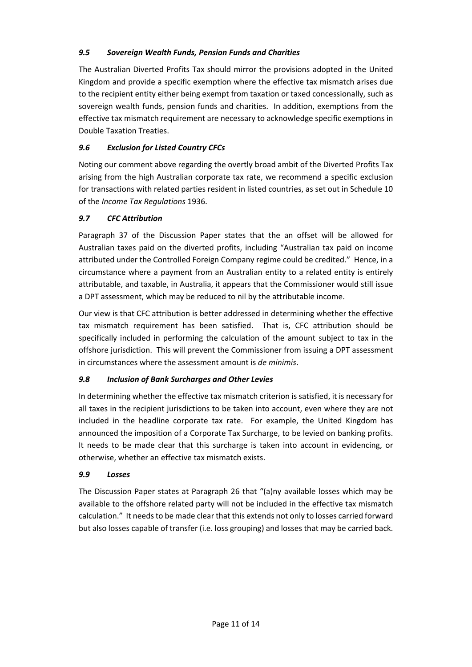## *9.5 Sovereign Wealth Funds, Pension Funds and Charities*

The Australian Diverted Profits Tax should mirror the provisions adopted in the United Kingdom and provide a specific exemption where the effective tax mismatch arises due to the recipient entity either being exempt from taxation or taxed concessionally, such as sovereign wealth funds, pension funds and charities. In addition, exemptions from the effective tax mismatch requirement are necessary to acknowledge specific exemptions in Double Taxation Treaties.

## *9.6 Exclusion for Listed Country CFCs*

Noting our comment above regarding the overtly broad ambit of the Diverted Profits Tax arising from the high Australian corporate tax rate, we recommend a specific exclusion for transactions with related parties resident in listed countries, as set out in Schedule 10 of the *Income Tax Regulations* 1936.

### *9.7 CFC Attribution*

Paragraph 37 of the Discussion Paper states that the an offset will be allowed for Australian taxes paid on the diverted profits, including "Australian tax paid on income attributed under the Controlled Foreign Company regime could be credited." Hence, in a circumstance where a payment from an Australian entity to a related entity is entirely attributable, and taxable, in Australia, it appears that the Commissioner would still issue a DPT assessment, which may be reduced to nil by the attributable income.

Our view is that CFC attribution is better addressed in determining whether the effective tax mismatch requirement has been satisfied. That is, CFC attribution should be specifically included in performing the calculation of the amount subject to tax in the offshore jurisdiction. This will prevent the Commissioner from issuing a DPT assessment in circumstances where the assessment amount is *de minimis*.

### *9.8 Inclusion of Bank Surcharges and Other Levies*

In determining whether the effective tax mismatch criterion is satisfied, it is necessary for all taxes in the recipient jurisdictions to be taken into account, even where they are not included in the headline corporate tax rate. For example, the United Kingdom has announced the imposition of a Corporate Tax Surcharge, to be levied on banking profits. It needs to be made clear that this surcharge is taken into account in evidencing, or otherwise, whether an effective tax mismatch exists.

### *9.9 Losses*

The Discussion Paper states at Paragraph 26 that "(a)ny available losses which may be available to the offshore related party will not be included in the effective tax mismatch calculation." It needs to be made clear that this extends not only to losses carried forward but also losses capable of transfer (i.e. loss grouping) and losses that may be carried back.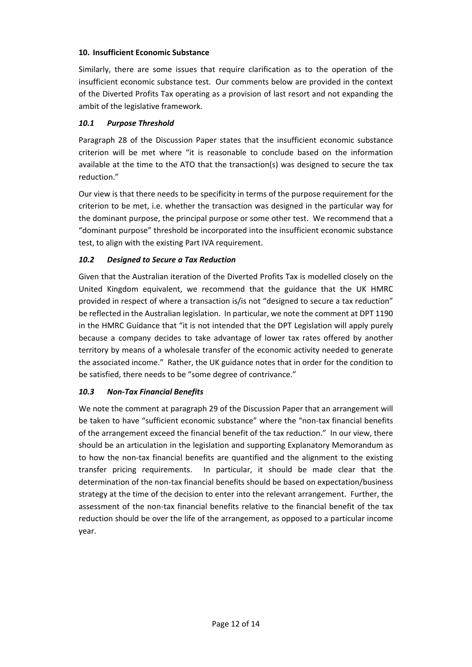### **10. Insufficient Economic Substance**

Similarly, there are some issues that require clarification as to the operation of the insufficient economic substance test. Our comments below are provided in the context of the Diverted Profits Tax operating as a provision of last resort and not expanding the ambit of the legislative framework.

#### *10.1 Purpose Threshold*

Paragraph 28 of the Discussion Paper states that the insufficient economic substance criterion will be met where "it is reasonable to conclude based on the information available at the time to the ATO that the transaction(s) was designed to secure the tax reduction."

Our view is that there needs to be specificity in terms of the purpose requirement for the criterion to be met, i.e. whether the transaction was designed in the particular way for the dominant purpose, the principal purpose or some other test. We recommend that a "dominant purpose" threshold be incorporated into the insufficient economic substance test, to align with the existing Part IVA requirement.

### *10.2 Designed to Secure a Tax Reduction*

Given that the Australian iteration of the Diverted Profits Tax is modelled closely on the United Kingdom equivalent, we recommend that the guidance that the UK HMRC provided in respect of where a transaction is/is not "designed to secure a tax reduction" be reflected in the Australian legislation. In particular, we note the comment at DPT 1190 in the HMRC Guidance that "it is not intended that the DPT Legislation will apply purely because a company decides to take advantage of lower tax rates offered by another territory by means of a wholesale transfer of the economic activity needed to generate the associated income." Rather, the UK guidance notes that in order for the condition to be satisfied, there needs to be "some degree of contrivance."

#### *10.3 Non‐Tax Financial Benefits*

We note the comment at paragraph 29 of the Discussion Paper that an arrangement will be taken to have "sufficient economic substance" where the "non-tax financial benefits of the arrangement exceed the financial benefit of the tax reduction." In our view, there should be an articulation in the legislation and supporting Explanatory Memorandum as to how the non-tax financial benefits are quantified and the alignment to the existing transfer pricing requirements. In particular, it should be made clear that the determination of the non‐tax financial benefits should be based on expectation/business strategy at the time of the decision to enter into the relevant arrangement. Further, the assessment of the non-tax financial benefits relative to the financial benefit of the tax reduction should be over the life of the arrangement, as opposed to a particular income year.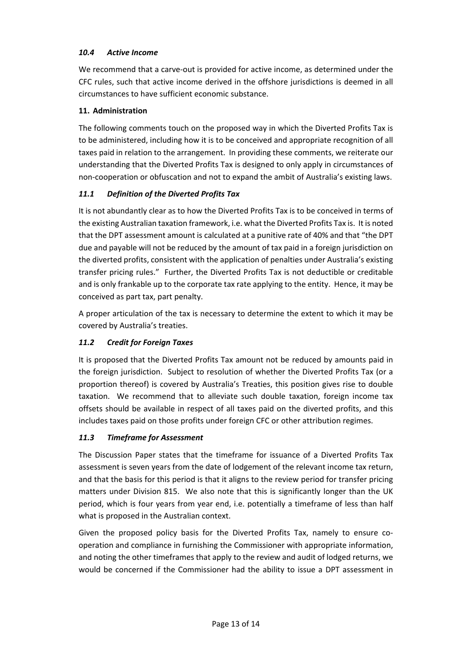## *10.4 Active Income*

We recommend that a carve‐out is provided for active income, as determined under the CFC rules, such that active income derived in the offshore jurisdictions is deemed in all circumstances to have sufficient economic substance.

## **11. Administration**

The following comments touch on the proposed way in which the Diverted Profits Tax is to be administered, including how it is to be conceived and appropriate recognition of all taxes paid in relation to the arrangement. In providing these comments, we reiterate our understanding that the Diverted Profits Tax is designed to only apply in circumstances of non‐cooperation or obfuscation and not to expand the ambit of Australia's existing laws.

## *11.1 Definition of the Diverted Profits Tax*

It is not abundantly clear as to how the Diverted Profits Tax is to be conceived in terms of the existing Australian taxation framework, i.e. what the Diverted Profits Tax is. It is noted that the DPT assessment amount is calculated at a punitive rate of 40% and that "the DPT due and payable will not be reduced by the amount of tax paid in a foreign jurisdiction on the diverted profits, consistent with the application of penalties under Australia's existing transfer pricing rules." Further, the Diverted Profits Tax is not deductible or creditable and is only frankable up to the corporate tax rate applying to the entity. Hence, it may be conceived as part tax, part penalty.

A proper articulation of the tax is necessary to determine the extent to which it may be covered by Australia's treaties.

# *11.2 Credit for Foreign Taxes*

It is proposed that the Diverted Profits Tax amount not be reduced by amounts paid in the foreign jurisdiction. Subject to resolution of whether the Diverted Profits Tax (or a proportion thereof) is covered by Australia's Treaties, this position gives rise to double taxation. We recommend that to alleviate such double taxation, foreign income tax offsets should be available in respect of all taxes paid on the diverted profits, and this includes taxes paid on those profits under foreign CFC or other attribution regimes.

### *11.3 Timeframe for Assessment*

The Discussion Paper states that the timeframe for issuance of a Diverted Profits Tax assessment is seven years from the date of lodgement of the relevant income tax return, and that the basis for this period is that it aligns to the review period for transfer pricing matters under Division 815. We also note that this is significantly longer than the UK period, which is four years from year end, i.e. potentially a timeframe of less than half what is proposed in the Australian context.

Given the proposed policy basis for the Diverted Profits Tax, namely to ensure cooperation and compliance in furnishing the Commissioner with appropriate information, and noting the other timeframes that apply to the review and audit of lodged returns, we would be concerned if the Commissioner had the ability to issue a DPT assessment in